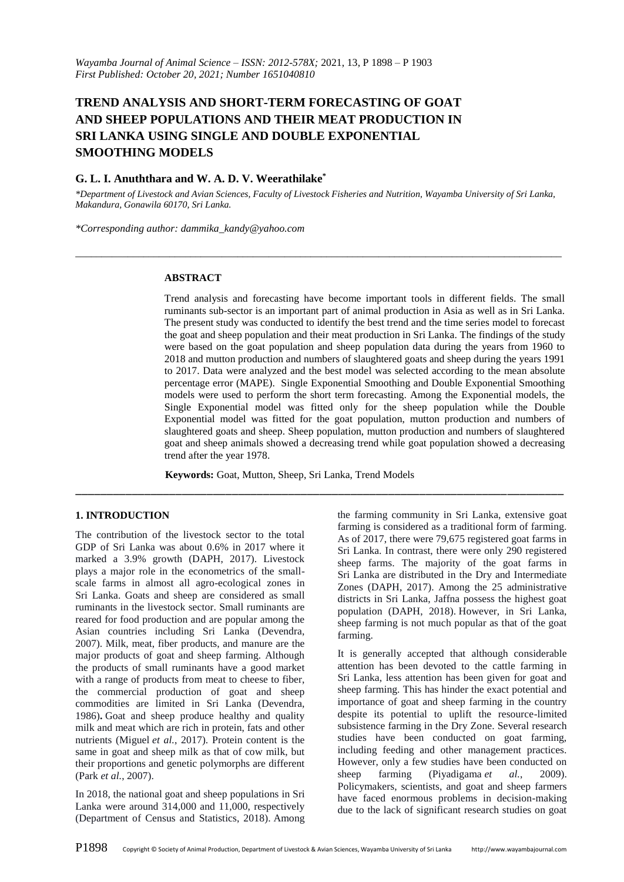# **TREND ANALYSIS AND SHORT-TERM FORECASTING OF GOAT AND SHEEP POPULATIONS AND THEIR MEAT PRODUCTION IN SRI LANKA USING SINGLE AND DOUBLE EXPONENTIAL SMOOTHING MODELS**

# **G. L. I. Anuththara and W. A. D. V. Weerathilake\***

*\*Department of Livestock and Avian Sciences, Faculty of Livestock Fisheries and Nutrition, Wayamba University of Sri Lanka, Makandura, Gonawila 60170, Sri Lanka.*

*\_\_\_\_\_\_\_\_\_\_\_\_\_\_\_\_\_\_\_\_\_\_\_\_\_\_\_\_\_\_\_\_\_\_\_\_\_\_\_\_\_\_\_\_\_\_\_\_\_\_\_\_\_\_\_\_\_\_\_\_\_\_\_\_\_\_\_\_\_\_\_\_\_\_\_\_\_\_\_\_\_\_\_\_\_\_\_\_\_\_\_\_\_*

*\*Corresponding author: dammika\_kandy@yahoo.com*

## **ABSTRACT**

Trend analysis and forecasting have become important tools in different fields. The small ruminants sub-sector is an important part of animal production in Asia as well as in Sri Lanka. The present study was conducted to identify the best trend and the time series model to forecast the goat and sheep population and their meat production in Sri Lanka. The findings of the study were based on the goat population and sheep population data during the years from 1960 to 2018 and mutton production and numbers of slaughtered goats and sheep during the years 1991 to 2017. Data were analyzed and the best model was selected according to the mean absolute percentage error (MAPE). Single Exponential Smoothing and Double Exponential Smoothing models were used to perform the short term forecasting. Among the Exponential models, the Single Exponential model was fitted only for the sheep population while the Double Exponential model was fitted for the goat population, mutton production and numbers of slaughtered goats and sheep. Sheep population, mutton production and numbers of slaughtered goat and sheep animals showed a decreasing trend while goat population showed a decreasing trend after the year 1978.

**Keywords:** Goat, Mutton, Sheep, Sri Lanka, Trend Models

\_\_\_\_\_\_\_\_\_\_\_\_\_\_\_\_\_\_\_\_\_\_\_\_\_\_\_\_\_\_\_\_\_\_\_\_\_\_\_\_\_\_\_\_\_\_\_\_\_\_\_\_\_\_\_\_\_\_\_\_\_\_\_\_\_\_\_\_\_\_\_\_\_\_\_\_\_\_

## **1. INTRODUCTION**

The contribution of the livestock sector to the total GDP of Sri Lanka was about 0.6% in 2017 where it marked a 3.9% growth (DAPH, 2017). Livestock plays a major role in the econometrics of the smallscale farms in almost all agro-ecological zones in Sri Lanka. Goats and sheep are considered as small ruminants in the livestock sector. Small ruminants are reared for food production and are popular among the Asian countries including Sri Lanka (Devendra, 2007). Milk, meat, fiber products, and manure are the major products of goat and sheep farming. Although the products of small ruminants have a good market with a range of products from meat to cheese to fiber, the commercial production of goat and sheep commodities are limited in Sri Lanka (Devendra, 1986)**.** Goat and sheep produce healthy and quality milk and meat which are rich in protein, fats and other nutrients (Miguel *et al.*, 2017). Protein content is the same in goat and sheep milk as that of cow milk, but their proportions and genetic polymorphs are different (Park *et al.*, 2007).

In 2018, the national goat and sheep populations in Sri Lanka were around 314,000 and 11,000, respectively (Department of Census and Statistics, 2018). Among

the farming community in Sri Lanka, extensive goat farming is considered as a traditional form of farming. As of 2017, there were 79,675 registered goat farms in Sri Lanka. In contrast, there were only 290 registered sheep farms. The majority of the goat farms in Sri Lanka are distributed in the Dry and Intermediate Zones (DAPH, 2017). Among the 25 administrative districts in Sri Lanka, Jaffna possess the highest goat population (DAPH, 2018). However, in Sri Lanka, sheep farming is not much popular as that of the goat farming.

It is generally accepted that although considerable attention has been devoted to the cattle farming in Sri Lanka, less attention has been given for goat and sheep farming. This has hinder the exact potential and importance of goat and sheep farming in the country despite its potential to uplift the resource-limited subsistence farming in the Dry Zone. Several research studies have been conducted on goat farming, including feeding and other management practices. However, only a few studies have been conducted on sheep farming (Piyadigama *et al.*, 2009). Policymakers, scientists, and goat and sheep farmers have faced enormous problems in decision-making due to the lack of significant research studies on goat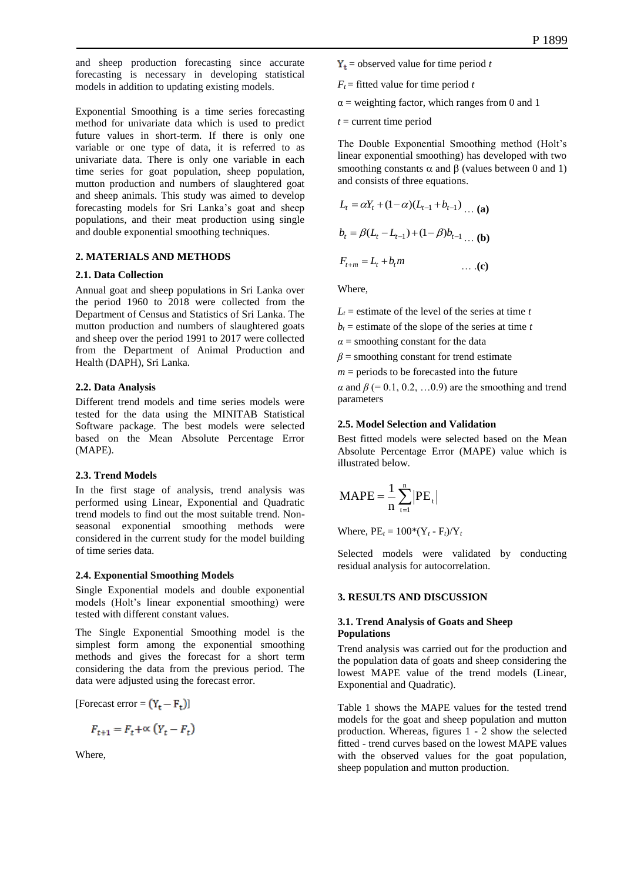and sheep production forecasting since accurate forecasting is necessary in developing statistical models in addition to updating existing models.

Exponential Smoothing is a time series forecasting method for univariate data which is used to predict future values in short-term. If there is only one variable or one type of data, it is referred to as univariate data. There is only one variable in each time series for goat population, sheep population, mutton production and numbers of slaughtered goat and sheep animals. This study was aimed to develop forecasting models for Sri Lanka's goat and sheep populations, and their meat production using single and double exponential smoothing techniques.

## **2. MATERIALS AND METHODS**

#### **2.1. Data Collection**

Annual goat and sheep populations in Sri Lanka over the period 1960 to 2018 were collected from the Department of Census and Statistics of Sri Lanka. The mutton production and numbers of slaughtered goats and sheep over the period 1991 to 2017 were collected from the Department of Animal Production and Health (DAPH), Sri Lanka.

## **2.2. Data Analysis**

Different trend models and time series models were tested for the data using the MINITAB Statistical Software package. The best models were selected based on the Mean Absolute Percentage Error (MAPE).

## **2.3. Trend Models**

In the first stage of analysis, trend analysis was performed using Linear, Exponential and Quadratic trend models to find out the most suitable trend. Nonseasonal exponential smoothing methods were considered in the current study for the model building of time series data.

#### **2.4. Exponential Smoothing Models**

Single Exponential models and double exponential models (Holt's linear exponential smoothing) were tested with different constant values.

The Single Exponential Smoothing model is the simplest form among the exponential smoothing methods and gives the forecast for a short term considering the data from the previous period. The data were adjusted using the forecast error.

[Forecast error =  $(Y_t - F_t)$ ]

$$
F_{t+1} = F_t + \propto (Y_t - F_t)
$$

Where,

- $Y_t$  = observed value for time period *t*
- $F_t$  = fitted value for time period *t*
- $\alpha$  = weighting factor, which ranges from 0 and 1
- $t =$  current time period

The Double Exponential Smoothing method (Holt's linear exponential smoothing) has developed with two smoothing constants  $\alpha$  and  $\beta$  (values between 0 and 1) and consists of three equations.

$$
L_t = \alpha Y_t + (1 - \alpha)(L_{t-1} + b_{t-1}) \dots (a)
$$
  
\n
$$
b_t = \beta(L_t - L_{t-1}) + (1 - \beta)b_{t-1} \dots (b)
$$
  
\n
$$
F_{t+m} = L_t + b_t m \qquad \dots (c)
$$

Where,

 $L_t$  = estimate of the level of the series at time *t*  $b_t$  = estimate of the slope of the series at time *t* 

 $\alpha$  = smoothing constant for the data

 $\beta$  = smoothing constant for trend estimate

 $m =$  periods to be forecasted into the future

 $\alpha$  and  $\beta$  (= 0.1, 0.2, ...0.9) are the smoothing and trend parameters

## **2.5. Model Selection and Validation**

Best fitted models were selected based on the Mean Absolute Percentage Error (MAPE) value which is illustrated below.

$$
MAPE = \frac{1}{n} \sum_{t=1}^{n} |PE_{t}|
$$

Where,  $PE_t = 100*(Y_t - F_t)/Y_t$ 

Selected models were validated by conducting residual analysis for autocorrelation.

#### **3. RESULTS AND DISCUSSION**

## **3.1. Trend Analysis of Goats and Sheep Populations**

Trend analysis was carried out for the production and the population data of goats and sheep considering the lowest MAPE value of the trend models (Linear, Exponential and Quadratic).

Table 1 shows the MAPE values for the tested trend models for the goat and sheep population and mutton production. Whereas, figures 1 - 2 show the selected fitted - trend curves based on the lowest MAPE values with the observed values for the goat population, sheep population and mutton production.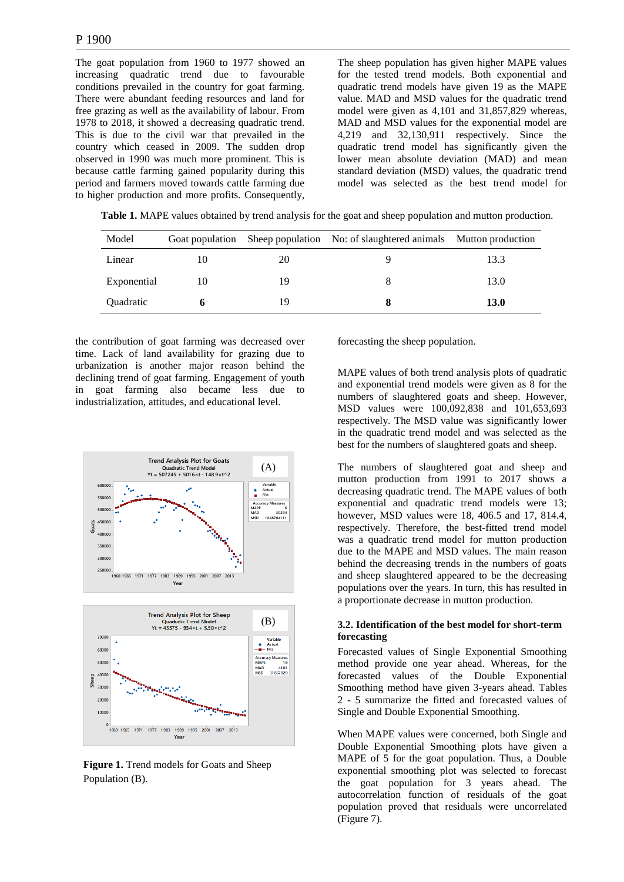The goat population from 1960 to 1977 showed an increasing quadratic trend due to favourable conditions prevailed in the country for goat farming. There were abundant feeding resources and land for free grazing as well as the availability of labour. From 1978 to 2018, it showed a decreasing quadratic trend. This is due to the civil war that prevailed in the country which ceased in 2009. The sudden drop observed in 1990 was much more prominent. This is because cattle farming gained popularity during this period and farmers moved towards cattle farming due to higher production and more profits. Consequently,

The sheep population has given higher MAPE values for the tested trend models. Both exponential and quadratic trend models have given 19 as the MAPE value. MAD and MSD values for the quadratic trend model were given as 4,101 and 31,857,829 whereas, MAD and MSD values for the exponential model are 4,219 and 32,130,911 respectively. Since the quadratic trend model has significantly given the lower mean absolute deviation (MAD) and mean standard deviation (MSD) values, the quadratic trend model was selected as the best trend model for

 **Table 1.** MAPE values obtained by trend analysis for the goat and sheep population and mutton production.

| Model            | Goat population |    | Sheep population No: of slaughtered animals Mutton production |             |
|------------------|-----------------|----|---------------------------------------------------------------|-------------|
| Linear           | 10              | 20 |                                                               | 13.3        |
| Exponential      | 10              | 19 |                                                               | 13.0        |
| <b>Ouadratic</b> |                 | 19 |                                                               | <b>13.0</b> |

the contribution of goat farming was decreased over time. Lack of land availability for grazing due to urbanization is another major reason behind the declining trend of goat farming. Engagement of youth in goat farming also became less due to industrialization, attitudes, and educational level.



**Figure 1.** Trend models for Goats and Sheep Population (B).

forecasting the sheep population.

MAPE values of both trend analysis plots of quadratic and exponential trend models were given as 8 for the numbers of slaughtered goats and sheep. However, MSD values were 100,092,838 and 101,653,693 respectively. The MSD value was significantly lower in the quadratic trend model and was selected as the best for the numbers of slaughtered goats and sheep.

The numbers of slaughtered goat and sheep and mutton production from 1991 to 2017 shows a decreasing quadratic trend. The MAPE values of both exponential and quadratic trend models were 13; however, MSD values were 18, 406.5 and 17, 814.4, respectively. Therefore, the best-fitted trend model was a quadratic trend model for mutton production due to the MAPE and MSD values. The main reason behind the decreasing trends in the numbers of goats and sheep slaughtered appeared to be the decreasing populations over the years. In turn, this has resulted in a proportionate decrease in mutton production.

## **3.2. Identification of the best model for short-term forecasting**

Forecasted values of Single Exponential Smoothing method provide one year ahead. Whereas, for the forecasted values of the Double Exponential Smoothing method have given 3-years ahead. Tables 2 - 5 summarize the fitted and forecasted values of Single and Double Exponential Smoothing.

When MAPE values were concerned, both Single and Double Exponential Smoothing plots have given a MAPE of 5 for the goat population. Thus, a Double exponential smoothing plot was selected to forecast the goat population for 3 years ahead. The autocorrelation function of residuals of the goat population proved that residuals were uncorrelated (Figure 7).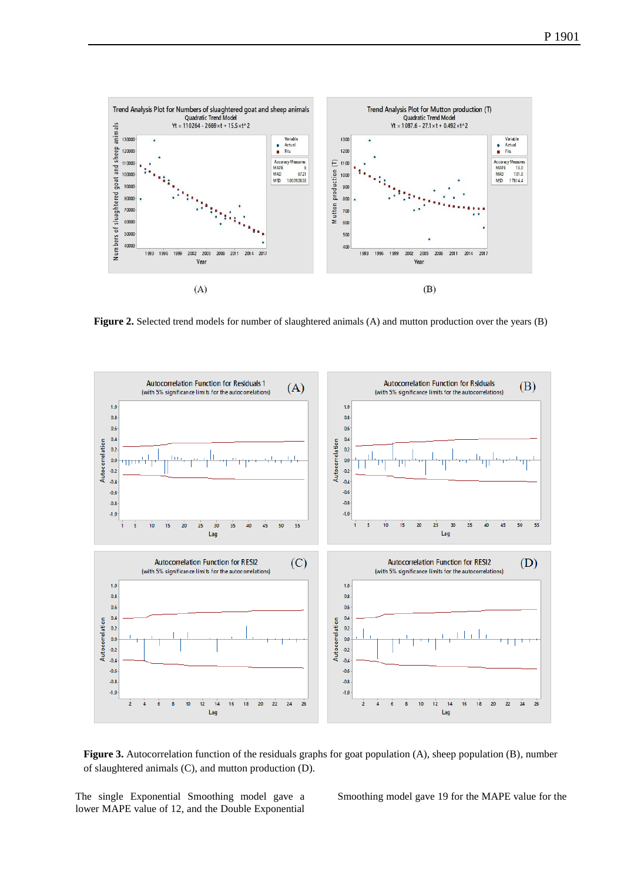

**Figure 2.** Selected trend models for number of slaughtered animals (A) and mutton production over the years (B)



Figure 3. Autocorrelation function of the residuals graphs for goat population (A), sheep population (B), number of slaughtered animals (C), and mutton production (D).

The single Exponential Smoothing model gave a lower MAPE value of 12, and the Double Exponential Smoothing model gave 19 for the MAPE value for the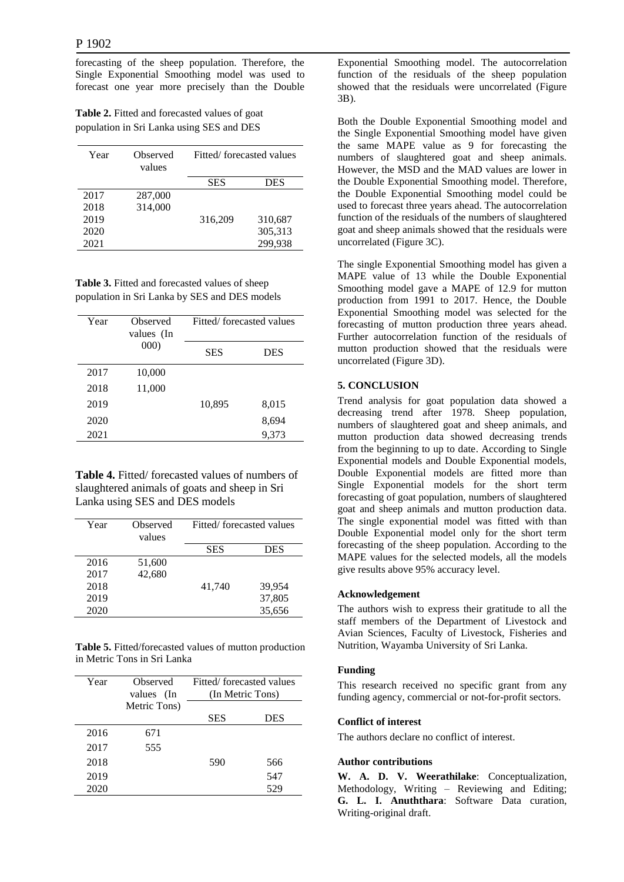forecasting of the sheep population. Therefore, the Single Exponential Smoothing model was used to forecast one year more precisely than the Double

**Table 2.** Fitted and forecasted values of goat population in Sri Lanka using SES and DES

| Year | Observed<br>values | Fitted/forecasted values |            |
|------|--------------------|--------------------------|------------|
|      |                    | <b>SES</b>               | <b>DES</b> |
| 2017 | 287,000            |                          |            |
| 2018 | 314,000            |                          |            |
| 2019 |                    | 316,209                  | 310,687    |
| 2020 |                    |                          | 305,313    |
| 2021 |                    |                          | 299,938    |

**Table 3.** Fitted and forecasted values of sheep population in Sri Lanka by SES and DES models

| Year | Observed<br>values (In | Fitted/forecasted values |       |
|------|------------------------|--------------------------|-------|
|      | 000)                   | <b>SES</b>               | DES   |
| 2017 | 10,000                 |                          |       |
| 2018 | 11,000                 |                          |       |
| 2019 |                        | 10,895                   | 8,015 |
| 2020 |                        |                          | 8,694 |
| 2021 |                        |                          | 9,373 |

**Table 4.** Fitted/ forecasted values of numbers of slaughtered animals of goats and sheep in Sri Lanka using SES and DES models

| Year | Observed<br>values | Fitted/forecasted values |            |
|------|--------------------|--------------------------|------------|
|      |                    | <b>SES</b>               | <b>DES</b> |
| 2016 | 51,600             |                          |            |
| 2017 | 42,680             |                          |            |
| 2018 |                    | 41,740                   | 39,954     |
| 2019 |                    |                          | 37,805     |
| 2020 |                    |                          | 35,656     |

**Table 5.** Fitted/forecasted values of mutton production in Metric Tons in Sri Lanka

| Year | Observed<br>values<br>(In | Fitted/forecasted values<br>(In Metric Tons) |     |
|------|---------------------------|----------------------------------------------|-----|
|      | Metric Tons)              |                                              |     |
|      |                           | <b>SES</b>                                   | DES |
| 2016 | 671                       |                                              |     |
| 2017 | 555                       |                                              |     |
| 2018 |                           | 590                                          | 566 |
| 2019 |                           |                                              | 547 |
| 2020 |                           |                                              | 529 |

Exponential Smoothing model. The autocorrelation function of the residuals of the sheep population showed that the residuals were uncorrelated (Figure 3B).

Both the Double Exponential Smoothing model and the Single Exponential Smoothing model have given the same MAPE value as 9 for forecasting the numbers of slaughtered goat and sheep animals. However, the MSD and the MAD values are lower in the Double Exponential Smoothing model. Therefore, the Double Exponential Smoothing model could be used to forecast three years ahead. The autocorrelation function of the residuals of the numbers of slaughtered goat and sheep animals showed that the residuals were uncorrelated (Figure 3C).

The single Exponential Smoothing model has given a MAPE value of 13 while the Double Exponential Smoothing model gave a MAPE of 12.9 for mutton production from 1991 to 2017. Hence, the Double Exponential Smoothing model was selected for the forecasting of mutton production three years ahead. Further autocorrelation function of the residuals of mutton production showed that the residuals were uncorrelated (Figure 3D).

# **5. CONCLUSION**

Trend analysis for goat population data showed a decreasing trend after 1978. Sheep population, numbers of slaughtered goat and sheep animals, and mutton production data showed decreasing trends from the beginning to up to date. According to Single Exponential models and Double Exponential models, Double Exponential models are fitted more than Single Exponential models for the short term forecasting of goat population, numbers of slaughtered goat and sheep animals and mutton production data. The single exponential model was fitted with than Double Exponential model only for the short term forecasting of the sheep population. According to the MAPE values for the selected models, all the models give results above 95% accuracy level.

## **Acknowledgement**

The authors wish to express their gratitude to all the staff members of the Department of Livestock and Avian Sciences, Faculty of Livestock, Fisheries and Nutrition, Wayamba University of Sri Lanka.

## **Funding**

This research received no specific grant from any funding agency, commercial or not-for-profit sectors.

## **Conflict of interest**

The authors declare no conflict of interest.

# **Author contributions**

**W. A. D. V. Weerathilake**: Conceptualization, Methodology, Writing – Reviewing and Editing; **G. L. I. Anuththara**: Software Data curation, Writing-original draft.